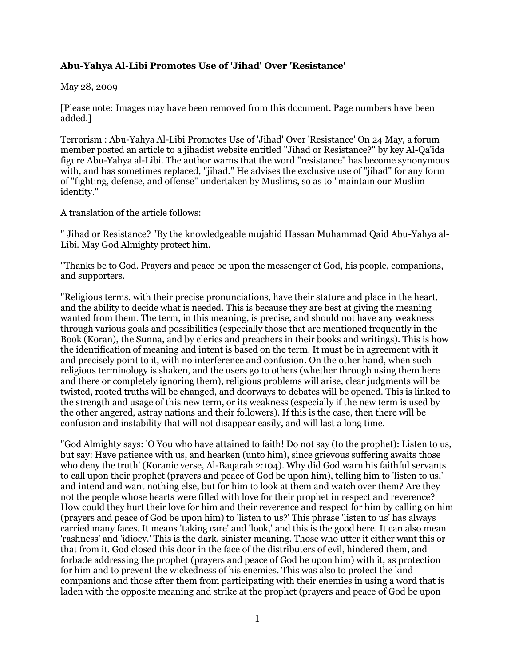## **Abu-Yahya Al-Libi Promotes Use of 'Jihad' Over 'Resistance'**

## May 28, 2009

[Please note: Images may have been removed from this document. Page numbers have been added.]

Terrorism : Abu-Yahya Al-Libi Promotes Use of 'Jihad' Over 'Resistance' On 24 May, a forum member posted an article to a jihadist website entitled "Jihad or Resistance?" by key Al-Qa'ida figure Abu-Yahya al-Libi. The author warns that the word "resistance" has become synonymous with, and has sometimes replaced, "jihad." He advises the exclusive use of "jihad" for any form of "fighting, defense, and offense" undertaken by Muslims, so as to "maintain our Muslim identity."

A translation of the article follows:

" Jihad or Resistance? "By the knowledgeable mujahid Hassan Muhammad Qaid Abu-Yahya al-Libi. May God Almighty protect him.

"Thanks be to God. Prayers and peace be upon the messenger of God, his people, companions, and supporters.

"Religious terms, with their precise pronunciations, have their stature and place in the heart, and the ability to decide what is needed. This is because they are best at giving the meaning wanted from them. The term, in this meaning, is precise, and should not have any weakness through various goals and possibilities (especially those that are mentioned frequently in the Book (Koran), the Sunna, and by clerics and preachers in their books and writings). This is how the identification of meaning and intent is based on the term. It must be in agreement with it and precisely point to it, with no interference and confusion. On the other hand, when such religious terminology is shaken, and the users go to others (whether through using them here and there or completely ignoring them), religious problems will arise, clear judgments will be twisted, rooted truths will be changed, and doorways to debates will be opened. This is linked to the strength and usage of this new term, or its weakness (especially if the new term is used by the other angered, astray nations and their followers). If this is the case, then there will be confusion and instability that will not disappear easily, and will last a long time.

"God Almighty says: 'O You who have attained to faith! Do not say (to the prophet): Listen to us, but say: Have patience with us, and hearken (unto him), since grievous suffering awaits those who deny the truth' (Koranic verse, Al-Baqarah 2:104). Why did God warn his faithful servants to call upon their prophet (prayers and peace of God be upon him), telling him to 'listen to us,' and intend and want nothing else, but for him to look at them and watch over them? Are they not the people whose hearts were filled with love for their prophet in respect and reverence? How could they hurt their love for him and their reverence and respect for him by calling on him (prayers and peace of God be upon him) to 'listen to us?' This phrase 'listen to us' has always carried many faces. It means 'taking care' and 'look,' and this is the good here. It can also mean 'rashness' and 'idiocy.' This is the dark, sinister meaning. Those who utter it either want this or that from it. God closed this door in the face of the distributers of evil, hindered them, and forbade addressing the prophet (prayers and peace of God be upon him) with it, as protection for him and to prevent the wickedness of his enemies. This was also to protect the kind companions and those after them from participating with their enemies in using a word that is laden with the opposite meaning and strike at the prophet (prayers and peace of God be upon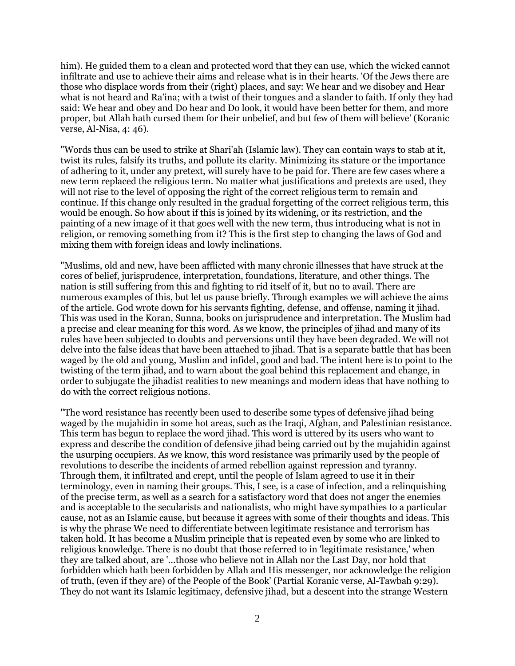him). He guided them to a clean and protected word that they can use, which the wicked cannot infiltrate and use to achieve their aims and release what is in their hearts. 'Of the Jews there are those who displace words from their (right) places, and say: We hear and we disobey and Hear what is not heard and Ra'ina; with a twist of their tongues and a slander to faith. If only they had said: We hear and obey and Do hear and Do look, it would have been better for them, and more proper, but Allah hath cursed them for their unbelief, and but few of them will believe' (Koranic verse, Al-Nisa, 4: 46).

"Words thus can be used to strike at Shari'ah (Islamic law). They can contain ways to stab at it, twist its rules, falsify its truths, and pollute its clarity. Minimizing its stature or the importance of adhering to it, under any pretext, will surely have to be paid for. There are few cases where a new term replaced the religious term. No matter what justifications and pretexts are used, they will not rise to the level of opposing the right of the correct religious term to remain and continue. If this change only resulted in the gradual forgetting of the correct religious term, this would be enough. So how about if this is joined by its widening, or its restriction, and the painting of a new image of it that goes well with the new term, thus introducing what is not in religion, or removing something from it? This is the first step to changing the laws of God and mixing them with foreign ideas and lowly inclinations.

"Muslims, old and new, have been afflicted with many chronic illnesses that have struck at the cores of belief, jurisprudence, interpretation, foundations, literature, and other things. The nation is still suffering from this and fighting to rid itself of it, but no to avail. There are numerous examples of this, but let us pause briefly. Through examples we will achieve the aims of the article. God wrote down for his servants fighting, defense, and offense, naming it jihad. This was used in the Koran, Sunna, books on jurisprudence and interpretation. The Muslim had a precise and clear meaning for this word. As we know, the principles of jihad and many of its rules have been subjected to doubts and perversions until they have been degraded. We will not delve into the false ideas that have been attached to jihad. That is a separate battle that has been waged by the old and young, Muslim and infidel, good and bad. The intent here is to point to the twisting of the term jihad, and to warn about the goal behind this replacement and change, in order to subjugate the jihadist realities to new meanings and modern ideas that have nothing to do with the correct religious notions.

"The word resistance has recently been used to describe some types of defensive jihad being waged by the mujahidin in some hot areas, such as the Iraqi, Afghan, and Palestinian resistance. This term has begun to replace the word jihad. This word is uttered by its users who want to express and describe the condition of defensive jihad being carried out by the mujahidin against the usurping occupiers. As we know, this word resistance was primarily used by the people of revolutions to describe the incidents of armed rebellion against repression and tyranny. Through them, it infiltrated and crept, until the people of Islam agreed to use it in their terminology, even in naming their groups. This, I see, is a case of infection, and a relinquishing of the precise term, as well as a search for a satisfactory word that does not anger the enemies and is acceptable to the secularists and nationalists, who might have sympathies to a particular cause, not as an Islamic cause, but because it agrees with some of their thoughts and ideas. This is why the phrase We need to differentiate between legitimate resistance and terrorism has taken hold. It has become a Muslim principle that is repeated even by some who are linked to religious knowledge. There is no doubt that those referred to in 'legitimate resistance,' when they are talked about, are '...those who believe not in Allah nor the Last Day, nor hold that forbidden which hath been forbidden by Allah and His messenger, nor acknowledge the religion of truth, (even if they are) of the People of the Book' (Partial Koranic verse, Al-Tawbah 9:29). They do not want its Islamic legitimacy, defensive jihad, but a descent into the strange Western